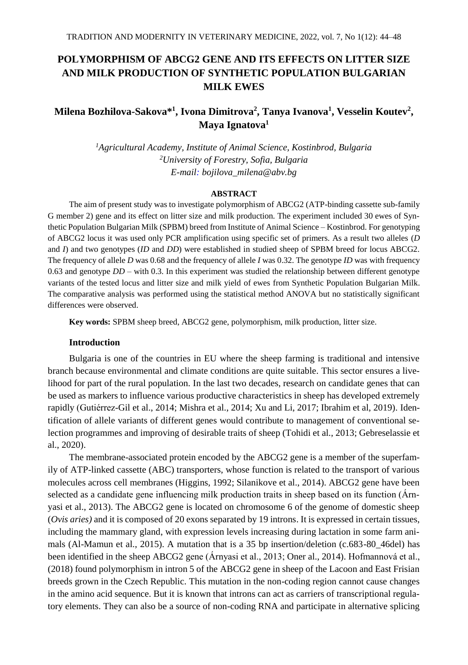# **POLYMORPHISM OF ABCG2 GENE AND ITS EFFECTS ON LITTER SIZE AND MILK PRODUCTION OF SYNTHETIC POPULATION BULGARIAN MILK EWES**

# **Milena Bozhilova-Sakova\* 1 , Ivona Dimitrova<sup>2</sup> , Tanya Ivanova<sup>1</sup> , Vesselin Koutev<sup>2</sup> , Maya Ignatova<sup>1</sup>**

*<sup>1</sup>Agricultural Academy, Institute of Animal Science, Kostinbrod, Bulgaria <sup>2</sup>University of Forestry, Sofia, Bulgaria E-mail: bojilova\_milena@abv.bg*

## **ABSTRACT**

The aim of present study was to investigate polymorphism of ABCG2 (ATP-binding cassette sub-family G member 2) gene and its effect on litter size and milk production. The experiment included 30 ewes of Synthetic Population Bulgarian Milk (SPBM) breed from Institute of Animal Science – Kostinbrod. For genotyping of ABCG2 locus it was used only PCR amplification using specific set of primers. As a result two alleles (*D* and *I*) and two genotypes (*ID* and *DD*) were established in studied sheep of SPBM breed for locus ABCG2. The frequency of allele *D* was 0.68 and the frequency of allele *I* was 0.32. The genotype *ID* was with frequency 0.63 and genotype *DD* – with 0.3. In this experiment was studied the relationship between different genotype variants of the tested locus and litter size and milk yield of ewes from Synthetic Population Bulgarian Milk. The comparative analysis was performed using the statistical method ANOVA but no statistically significant differences were observed.

**Key words:** SPBM sheep breed, ABCG2 gene, polymorphism, milk production, litter size.

## **Introduction**

Bulgaria is one of the countries in EU where the sheep farming is traditional and intensive branch because environmental and climate conditions are quite suitable. This sector ensures a livelihood for part of the rural population. In the last two decades, research on candidate genes that can be used as markers to influence various productive characteristics in sheep has developed extremely rapidly (Gutiérrez-Gil et al., 2014; Mishra et al., 2014; Xu and Li, 2017; Ibrahim et al, 2019). Identification of allele variants of different genes would contribute to management of conventional selection programmes and improving of desirable traits of sheep (Tohidi et al., 2013; Gebreselassie et al., 2020).

The membrane-associated protein encoded by the ABCG2 gene is a member of the superfamily of ATP-linked cassette (ABC) transporters, whose function is related to the transport of various molecules across cell membranes (Higgins, 1992; Silanikove et al., 2014). ABCG2 gene have been selected as a candidate gene influencing milk production traits in sheep based on its function (Árnyasi et al., 2013). The ABCG2 gene is located on chromosome 6 of the genome of domestic sheep (*Ovis aries)* and it is composed of 20 exons separated by 19 introns. It is expressed in certain tissues, including the mammary gland, with expression levels increasing during lactation in some farm animals (Al-Mamun et al., 2015). A mutation that is a 35 bp insertion/deletion (c.683-80\_46del) has been identified in the sheep ABCG2 gene (Árnyasi et al., 2013; Oner al., 2014). Hofmannová et al., (2018) found polymorphism in intron 5 of the ABCG2 gene in sheep of the Lacoon and East Frisian breeds grown in the Czech Republic. This mutation in the non-coding region cannot cause changes in the amino acid sequence. But it is known that introns can act as carriers of transcriptional regulatory elements. They can also be a source of non-coding RNA and participate in alternative splicing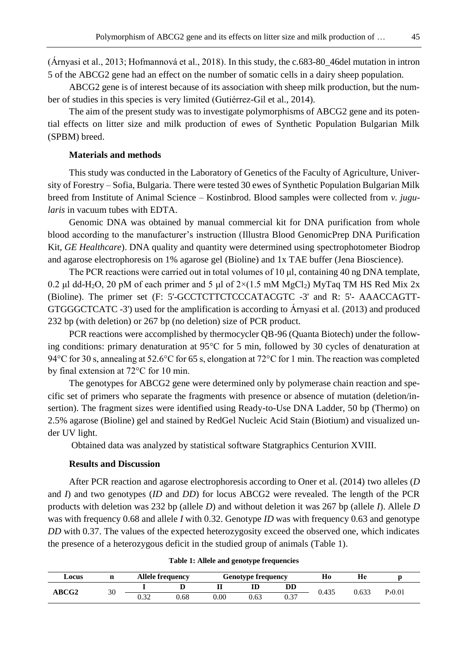(Árnyasi et al., 2013; Hofmannová et al., 2018). In this study, the c.683-80\_46del mutation in intron 5 of the ABCG2 gene had an effect on the number of somatic cells in a dairy sheep population.

ABCG2 gene is of interest because of its association with sheep milk production, but the number of studies in this species is very limited (Gutiérrez-Gil et al., 2014).

The aim of the present study was to investigate polymorphisms of ABCG2 gene and its potential effects on litter size and milk production of ewes of Synthetic Population Bulgarian Milk (SPBM) breed.

### **Materials and methods**

This study was conducted in the Laboratory of Genetics of the Faculty of Agriculture, University of Forestry – Sofia, Bulgaria. There were tested 30 ewes of Synthetic Population Bulgarian Milk breed from Institute of Animal Science – Kostinbrod. Blood samples were collected from *v. jugularis* in vacuum tubes with EDTA.

Genomic DNA was obtained by manual commercial kit for DNA purification from whole blood according to the manufacturer's instruction (Illustra Blood GenomicPrep DNA Purification Kit, *GE Healthcare*). DNA quality and quantity were determined using spectrophotometer Biodrop and agarose electrophoresis on 1% agarose gel (Bioline) and 1x TAE buffer (Jena Bioscience).

The PCR reactions were carried out in total volumes of  $10 \mu l$ , containing  $40 \text{ ng DNA template}$ , 0.2 μl dd-H<sub>2</sub>O, 20 pM of each primer and 5 μl of  $2\times(1.5 \text{ mM MgCl}_2)$  MyTaq TM HS Red Mix 2x (Bioline). The primer set (F: 5'-GCCTCTTCTCCCATACGTC -3' and R: 5'- AAACCAGTT-GTGGGCTCATC -3') used for the amplification is according to Árnyasi et al. (2013) and produced 232 bp (with deletion) or 267 bp (no deletion) size of PCR product.

PCR reactions were accomplished by thermocycler QB-96 (Quanta Biotech) under the following conditions: primary denaturation at 95°C for 5 min, followed by 30 cycles of denaturation at 94°C for 30 s, annealing at 52.6°C for 65 s, elongation at 72°C for 1 min. The reaction was completed by final extension at 72°C for 10 min.

The genotypes for ABCG2 gene were determined only by polymerase chain reaction and specific set of primers who separate the fragments with presence or absence of mutation (deletion/insertion). The fragment sizes were identified using Ready-to-Use DNA Ladder, 50 bp (Thermo) on 2.5% agarose (Bioline) gel and stained by RedGel Nucleic Acid Stain (Biotium) and visualized under UV light.

Obtained data was analyzed by statistical software Statgraphics Centurion XVIII.

## **Results and Discussion**

After PCR reaction and agarose electrophoresis according to Oner et al. (2014) two alleles (*D* and *I*) and two genotypes (*ID* and *DD*) for locus ABCG2 were revealed. The length of the PCR products with deletion was 232 bp (allele *D*) and without deletion it was 267 bp (allele *I*). Allele *D* was with frequency 0.68 and allele *I* with 0.32. Genotype *ID* was with frequency 0.63 and genotype *DD* with 0.37. The values of the expected heterozygosity exceed the observed one, which indicates the presence of a heterozygous deficit in the studied group of animals (Table 1).

| Table 1: Allele and genotype frequencies |  |  |  |
|------------------------------------------|--|--|--|
|------------------------------------------|--|--|--|

| Locus        |    |      | Allele frequency |      | <b>Genotype frequency</b> |      | Ho    | Нe    |        |  |
|--------------|----|------|------------------|------|---------------------------|------|-------|-------|--------|--|
| <b>ABCG2</b> | 30 |      |                  | п    | ID                        | DD   | 0.435 | 0.633 | P>0.01 |  |
|              |    | 0.32 | ).68             | 0.00 | 0.63                      | 0.37 |       |       |        |  |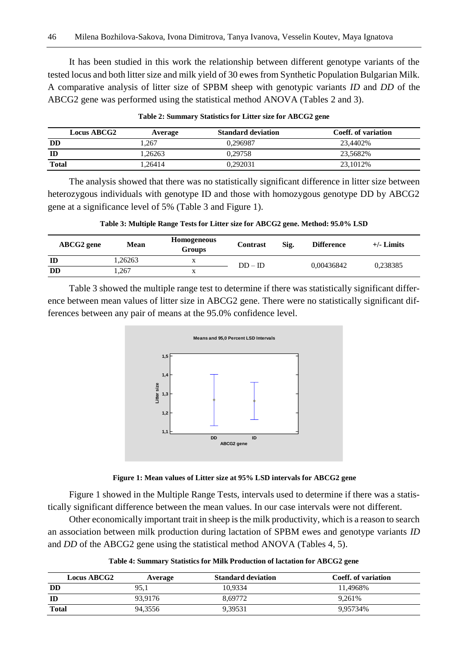It has been studied in this work the relationship between different genotype variants of the tested locus and both litter size and milk yield of 30 ewes from Synthetic Population Bulgarian Milk. A comparative analysis of litter size of SPBM sheep with genotypic variants *ID* and *DD* of the ABCG2 gene was performed using the statistical method ANOVA (Tables 2 and 3).

|              | <b>Locus ABCG2</b> | Average | <b>Standard deviation</b> | Coeff. of variation |
|--------------|--------------------|---------|---------------------------|---------------------|
| <b>DD</b>    |                    | .267    | 0.296987                  | 23,4402%            |
| ID           |                    | 1.26263 | 0.29758                   | 23.5682%            |
| <b>Total</b> |                    | 1.26414 | 0.292031                  | 23.1012\%           |

#### **Table 2: Summary Statistics for Litter size for ABCG2 gene**

The analysis showed that there was no statistically significant difference in litter size between heterozygous individuals with genotype ID and those with homozygous genotype DD by ABCG2 gene at a significance level of 5% (Table 3 and Figure 1).

|  |  |  |  | Table 3: Multiple Range Tests for Litter size for ABCG2 gene. Method: 95.0% LSD |
|--|--|--|--|---------------------------------------------------------------------------------|
|--|--|--|--|---------------------------------------------------------------------------------|

| <b>ABCG2</b> gene | Mean    | <b>Homogeneous</b><br><b>Groups</b> | <b>Contrast</b> | Sig. | <b>Difference</b> | $+/-$ Limits |
|-------------------|---------|-------------------------------------|-----------------|------|-------------------|--------------|
| ID                | 1.26263 |                                     | $DD - ID$       |      | 0.00436842        | 0.238385     |
| DD                | .267    |                                     |                 |      |                   |              |

Table 3 showed the multiple range test to determine if there was statistically significant difference between mean values of litter size in ABCG2 gene. There were no statistically significant differences between any pair of means at the 95.0% confidence level.





Figure 1 showed in the Multiple Range Tests, intervals used to determine if there was a statistically significant difference between the mean values. In our case intervals were not different.

Other economically important trait in sheep is the milk productivity, which is a reason to search an association between milk production during lactation of SPBM ewes and genotype variants *ID* and *DD* of the ABCG2 gene using the statistical method ANOVA (Tables 4, 5).

| Table 4: Summary Statistics for Milk Production of lactation for ABCG2 gene |
|-----------------------------------------------------------------------------|
|-----------------------------------------------------------------------------|

| <b>Locus ABCG2</b> | Average | <b>Standard deviation</b> | Coeff. of variation |
|--------------------|---------|---------------------------|---------------------|
| <b>DD</b>          | 95.1    | 10.9334                   | 11.4968%            |
| ID                 | 93.9176 | 8.69772                   | 9.261%              |
| <b>Total</b>       | 94.3556 | 9.39531                   | 9.95734%            |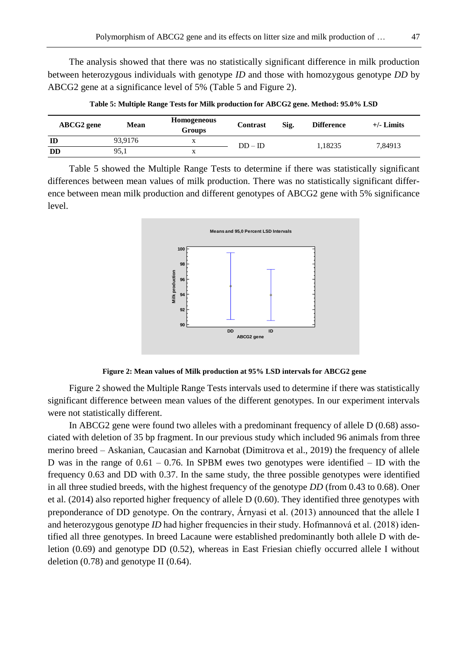The analysis showed that there was no statistically significant difference in milk production between heterozygous individuals with genotype *ID* and those with homozygous genotype *DD* by ABCG2 gene at a significance level of 5% (Table 5 and Figure 2).

| ABCG2 gene | <b>Mean</b> | Homogeneous<br>Groups | Contrast  | Sig. | <b>Difference</b> | $+/-$ Limits |
|------------|-------------|-----------------------|-----------|------|-------------------|--------------|
| ID         | 93.9176     | л                     | $DD - ID$ |      | 1.18235           | 7.84913      |
| DD         | 95.1        | л                     |           |      |                   |              |

**Table 5: Multiple Range Tests for Milk production for ABCG2 gene. Method: 95.0% LSD**

Table 5 showed the Multiple Range Tests to determine if there was statistically significant differences between mean values of milk production. There was no statistically significant difference between mean milk production and different genotypes of ABCG2 gene with 5% significance level.



#### **Figure 2: Mean values of Milk production at 95% LSD intervals for ABCG2 gene**

Figure 2 showed the Multiple Range Tests intervals used to determine if there was statistically significant difference between mean values of the different genotypes. In our experiment intervals were not statistically different.

In ABCG2 gene were found two alleles with a predominant frequency of allele D (0.68) associated with deletion of 35 bp fragment. In our previous study which included 96 animals from three merino breed – Askanian, Caucasian and Karnobat (Dimitrova et al., 2019) the frequency of allele D was in the range of  $0.61 - 0.76$ . In SPBM ewes two genotypes were identified – ID with the frequency 0.63 and DD with 0.37. In the same study, the three possible genotypes were identified in all three studied breeds, with the highest frequency of the genotype *DD* (from 0.43 to 0.68). Oner et al. (2014) also reported higher frequency of allele D (0.60). They identified three genotypes with preponderance of DD genotype. On the contrary, Árnyasi et al. (2013) announced that the allele I and heterozygous genotype *ID* had higher frequencies in their study. Hofmannová et al. (2018) identified all three genotypes. In breed Lacaune were established predominantly both allele D with deletion (0.69) and genotype DD (0.52), whereas in East Friesian chiefly occurred allele I without deletion  $(0.78)$  and genotype II  $(0.64)$ .